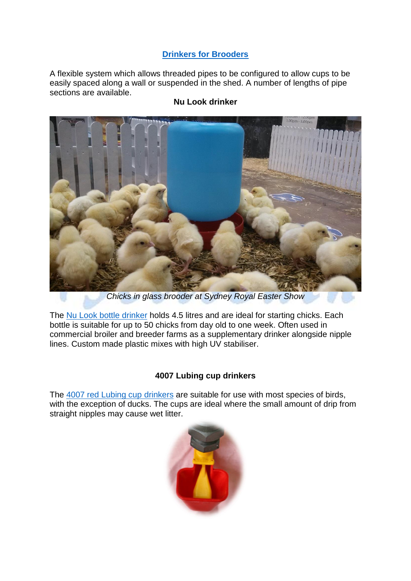### **[Drinkers for](http://eshop.bellsouth.com.au/epages/bellsouth.sf/en_AU/?ObjectPath=/Shops/bellsouth/Categories/Equipment/%22Poultry%20Drinkers%22/%22Drinker%20Kits%22) Brooders**

A flexible system which allows threaded pipes to be configured to allow cups to be easily spaced along a wall or suspended in the shed. A number of lengths of pipe sections are available.



## **Nu Look drinker**

*Chicks in glass brooder at Sydney Royal Easter Show*

The [Nu Look](http://eshop.bellsouth.com.au/epages/bellsouth.sf/en_AU/?ObjectPath=/Shops/bellsouth/Products/NLD4.5L) bottle drinker holds 4.5 litres and are ideal for starting chicks. Each bottle is suitable for up to 50 chicks from day old to one week. Often used in commercial broiler and breeder farms as a supplementary drinker alongside nipple lines. Custom made plastic mixes with high UV stabiliser.

#### **4007 Lubing cup drinkers**

The [4007 red Lubing cup](http://eshop.bellsouth.com.au/epages/bellsouth.sf/en_AU/?ObjectPath=/Shops/bellsouth/Products/4007) drinkers are suitable for use with most species of birds, with the exception of ducks. The cups are ideal where the small amount of drip from straight nipples may cause wet litter.

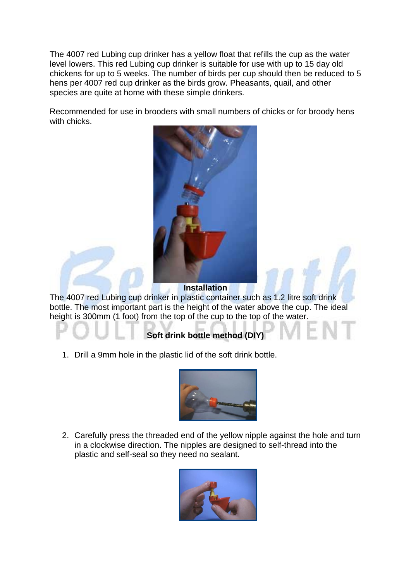The 4007 red Lubing cup drinker has a yellow float that refills the cup as the water level lowers. This red Lubing cup drinker is suitable for use with up to 15 day old chickens for up to 5 weeks. The number of birds per cup should then be reduced to 5 hens per 4007 red cup drinker as the birds grow. Pheasants, quail, and other species are quite at home with these simple drinkers.

Recommended for use in brooders with small numbers of chicks or for broody hens with chicks.



**Installation**

The 4007 red Lubing cup drinker in plastic container such as 1.2 litre soft drink bottle. The most important part is the height of the water above the cup. The ideal height is 300mm (1 foot) from the top of the cup to the top of the water.

# **Soft drink bottle method (DIY)**

1. Drill a 9mm hole in the plastic lid of the soft drink bottle.



2. Carefully press the threaded end of the yellow nipple against the hole and turn in a clockwise direction. The nipples are designed to self-thread into the plastic and self-seal so they need no sealant.

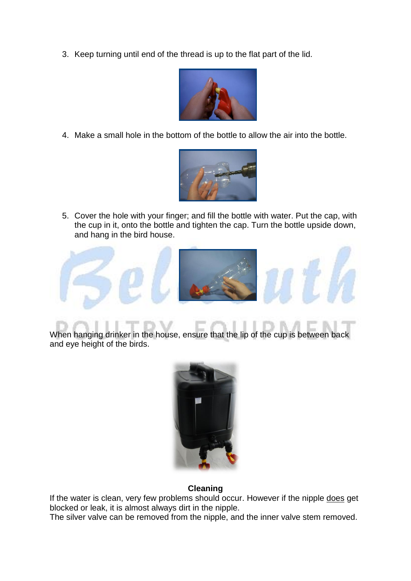3. Keep turning until end of the thread is up to the flat part of the lid.



4. Make a small hole in the bottom of the bottle to allow the air into the bottle.



5. Cover the hole with your finger; and fill the bottle with water. Put the cap, with the cup in it, onto the bottle and tighten the cap. Turn the bottle upside down, and hang in the bird house.



When hanging drinker in the house, ensure that the lip of the cup is between back and eye height of the birds.



#### **Cleaning**

If the water is clean, very few problems should occur. However if the nipple does get blocked or leak, it is almost always dirt in the nipple.

The silver valve can be removed from the nipple, and the inner valve stem removed.